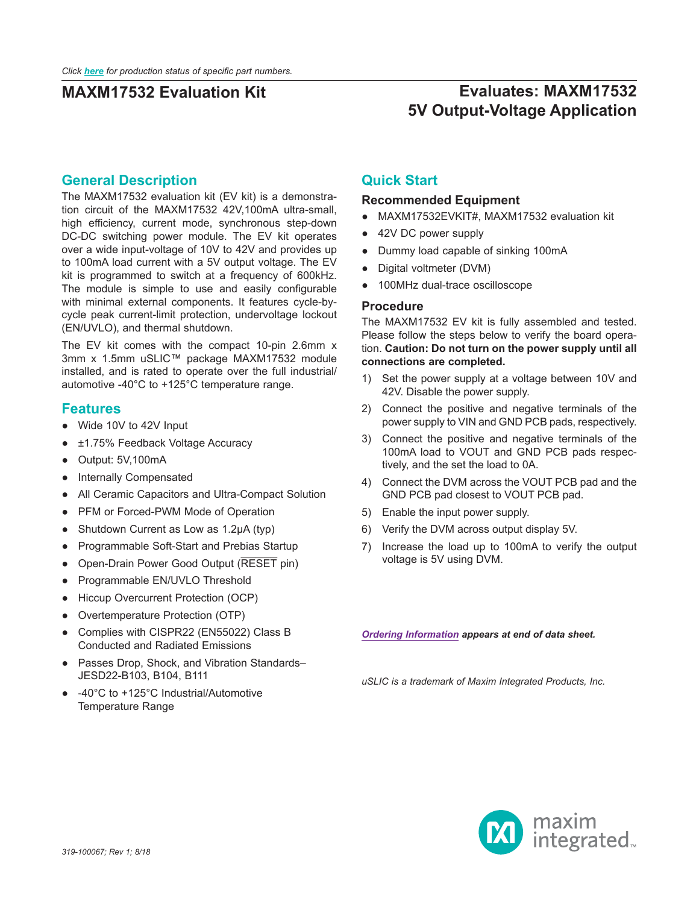# **Evaluates: MAXM17532 5V Output-Voltage Application**

#### **General Description**

The MAXM17532 evaluation kit (EV kit) is a demonstration circuit of the MAXM17532 42V,100mA ultra-small, high efficiency, current mode, synchronous step-down DC-DC switching power module. The EV kit operates over a wide input-voltage of 10V to 42V and provides up to 100mA load current with a 5V output voltage. The EV kit is programmed to switch at a frequency of 600kHz. The module is simple to use and easily configurable with minimal external components. It features cycle-bycycle peak current-limit protection, undervoltage lockout (EN/UVLO), and thermal shutdown.

The EV kit comes with the compact 10-pin 2.6mm x 3mm x 1.5mm uSLIC™ package MAXM17532 module installed, and is rated to operate over the full industrial/ automotive -40°C to +125°C temperature range.

#### **Features**

- Wide 10V to 42V Input
- ±1.75% Feedback Voltage Accuracy
- Output: 5V,100mA
- Internally Compensated
- All Ceramic Capacitors and Ultra-Compact Solution
- PFM or Forced-PWM Mode of Operation
- Shutdown Current as Low as 1.2μA (typ)
- Programmable Soft-Start and Prebias Startup
- Open-Drain Power Good Output (RESET pin)
- Programmable EN/UVLO Threshold
- Hiccup Overcurrent Protection (OCP)
- Overtemperature Protection (OTP)
- Complies with CISPR22 (EN55022) Class B Conducted and Radiated Emissions
- Passes Drop, Shock, and Vibration Standards– JESD22-B103, B104, B111
- -40°C to +125°C Industrial/Automotive Temperature Range

#### **Quick Start**

#### **Recommended Equipment**

- MAXM17532EVKIT#, MAXM17532 evaluation kit
- 42V DC power supply
- Dummy load capable of sinking 100mA
- Digital voltmeter (DVM)
- 100MHz dual-trace oscilloscope

#### **Procedure**

The MAXM17532 EV kit is fully assembled and tested. Please follow the steps below to verify the board operation. **Caution: Do not turn on the power supply until all connections are completed.**

- 1) Set the power supply at a voltage between 10V and 42V. Disable the power supply.
- 2) Connect the positive and negative terminals of the power supply to VIN and GND PCB pads, respectively.
- 3) Connect the positive and negative terminals of the 100mA load to VOUT and GND PCB pads respectively, and the set the load to 0A.
- 4) Connect the DVM across the VOUT PCB pad and the GND PCB pad closest to VOUT PCB pad.
- 5) Enable the input power supply.
- 6) Verify the DVM across output display 5V.
- 7) Increase the load up to 100mA to verify the output voltage is 5V using DVM.

*[Ordering Information](#page-4-0) appears at end of data sheet.*

*uSLIC is a trademark of Maxim Integrated Products, Inc.*

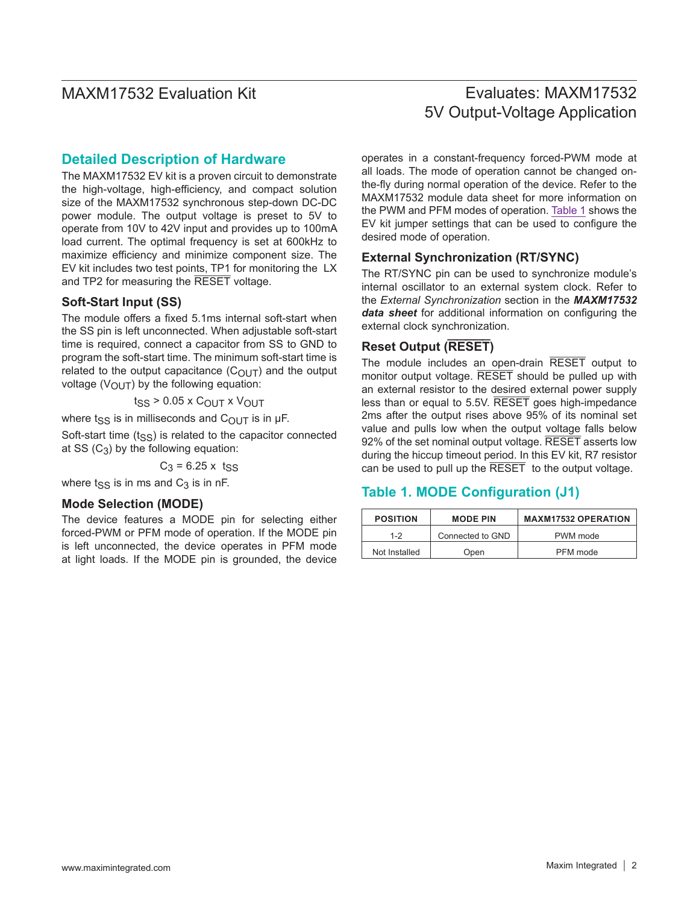## Evaluates: MAXM17532 5V Output-Voltage Application

#### **Detailed Description of Hardware**

The MAXM17532 EV kit is a proven circuit to demonstrate the high-voltage, high-efficiency, and compact solution size of the MAXM17532 synchronous step-down DC-DC power module. The output voltage is preset to 5V to operate from 10V to 42V input and provides up to 100mA load current. The optimal frequency is set at 600kHz to maximize efficiency and minimize component size. The EV kit includes two test points, TP1 for monitoring the LX and TP2 for measuring the RESET voltage.

#### **Soft-Start Input (SS)**

The module offers a fixed 5.1ms internal soft-start when the SS pin is left unconnected. When adjustable soft-start time is required, connect a capacitor from SS to GND to program the soft-start time. The minimum soft-start time is related to the output capacitance  $(C<sub>OUT</sub>)$  and the output voltage ( $V_{\text{OUT}}$ ) by the following equation:

 $t_{SS}$  > 0.05 x  $C_{OUT}$  x  $V_{OUT}$ 

where t<sub>SS</sub> is in milliseconds and C<sub>OUT</sub> is in  $\mu$ F.

Soft-start time  $(t_{SS})$  is related to the capacitor connected at SS  $(C_3)$  by the following equation:

 $C_3$  = 6.25 x t<sub>SS</sub>

where  $t_{SS}$  is in ms and  $C_3$  is in nF.

#### **Mode Selection (MODE)**

The device features a MODE pin for selecting either forced-PWM or PFM mode of operation. If the MODE pin is left unconnected, the device operates in PFM mode at light loads. If the MODE pin is grounded, the device operates in a constant-frequency forced-PWM mode at all loads. The mode of operation cannot be changed onthe-fly during normal operation of the device. Refer to the MAXM17532 module data sheet for more information on the PWM and PFM modes of operation. [Table 1](#page-1-0) shows the EV kit jumper settings that can be used to configure the desired mode of operation.

#### **External Synchronization (RT/SYNC)**

The RT/SYNC pin can be used to synchronize module's internal oscillator to an external system clock. Refer to the *External Synchronization* section in the *MAXM17532 data sheet* for additional information on configuring the external clock synchronization.

#### **Reset Output (RESET)**

The module includes an open-drain RESET output to monitor output voltage. RESET should be pulled up with an external resistor to the desired external power supply less than or equal to 5.5V. RESET goes high-impedance 2ms after the output rises above 95% of its nominal set value and pulls low when the output voltage falls below 92% of the set nominal output voltage. RESET asserts low during the hiccup timeout period. In this EV kit, R7 resistor can be used to pull up the RESET to the output voltage.

#### <span id="page-1-0"></span>**Table 1. MODE Configuration (J1)**

| <b>POSITION</b> | <b>MODE PIN</b>  | <b>MAXM17532 OPERATION</b> |  |
|-----------------|------------------|----------------------------|--|
| $1 - 2$         | Connected to GND | PWM mode                   |  |
| Not Installed   | Open             | PFM mode                   |  |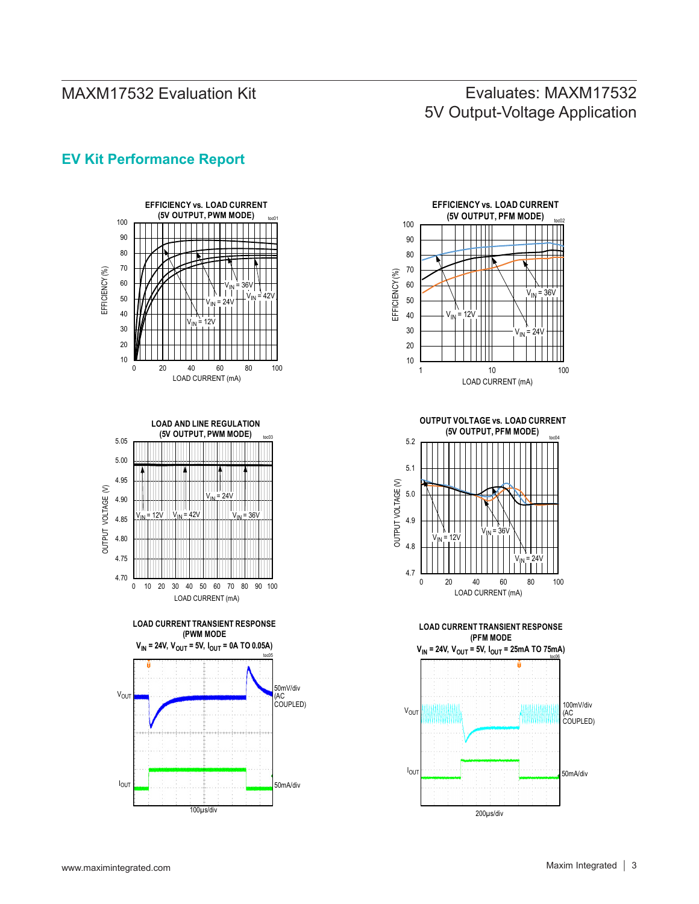# Evaluates: MAXM17532 5V Output-Voltage Application

#### **EV Kit Performance Report**



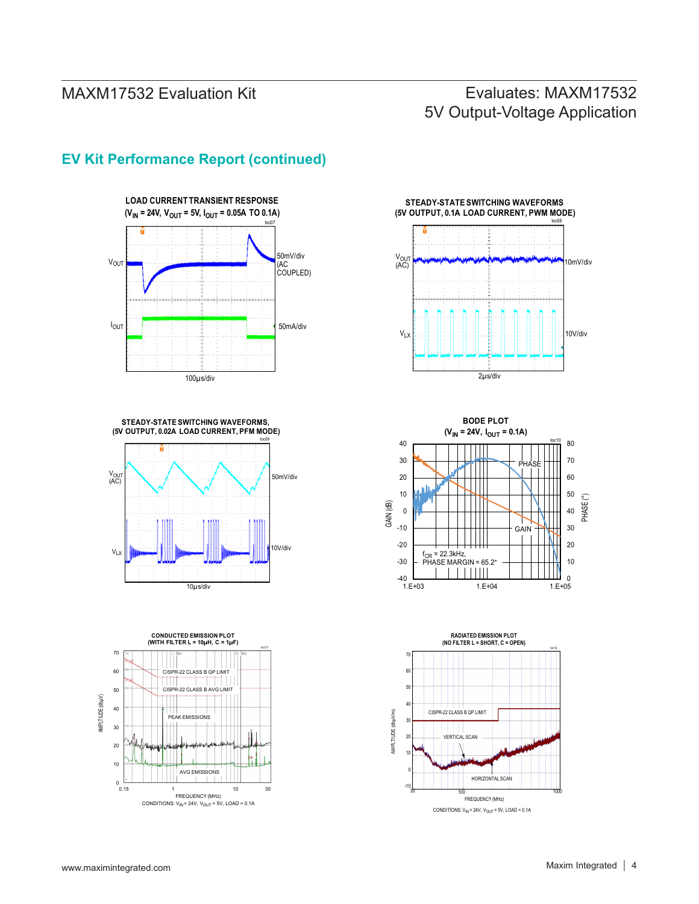# Evaluates: MAXM17532 5V Output-Voltage Application



#### **EV Kit Performance Report (continued)**











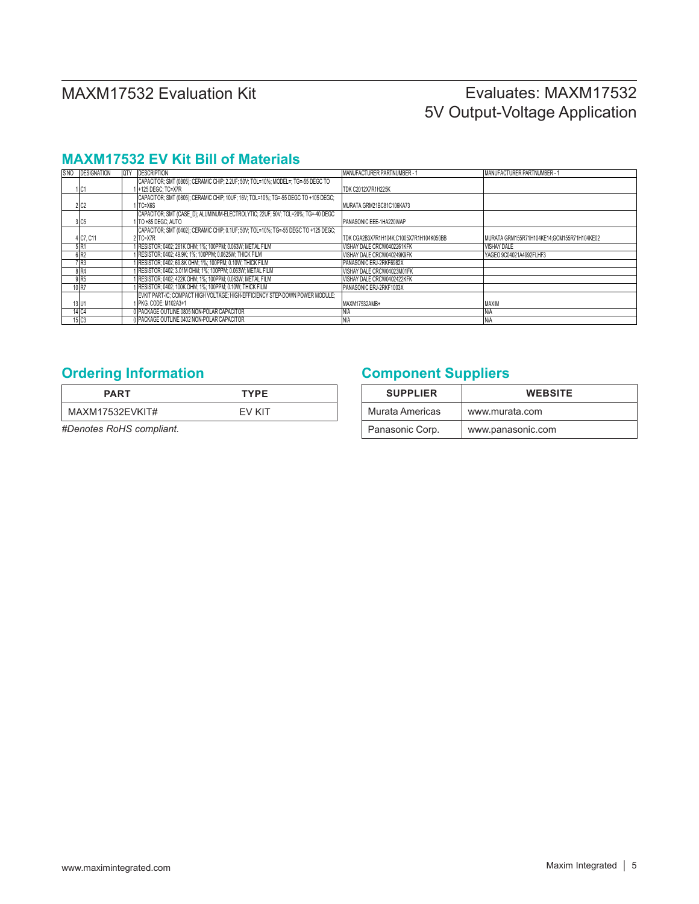# Evaluates: MAXM17532 5V Output-Voltage Application

#### **MAXM17532 EV Kit Bill of Materials**

| S NO | <b>DESIGNATION</b> | <b>OTY</b> | <b>DESCRIPTION</b>                                                                  | MANUFACTURER PARTNUMBER -               | MANUFACTURER PARTNUMBER - 1                |
|------|--------------------|------------|-------------------------------------------------------------------------------------|-----------------------------------------|--------------------------------------------|
|      |                    |            | CAPACITOR; SMT (0805); CERAMIC CHIP; 2.2UF; 50V; TOL=10%; MODEL=; TG=-55 DEGC TO    |                                         |                                            |
|      | 1 C1               |            | 14125 DEGC: TC=X7R                                                                  | TDK C2012X7R1H225K                      |                                            |
|      |                    |            | ICAPACITOR: SMT (0805): CERAMIC CHIP: 10UF: 16V: TOL=10%: TG=-55 DEGC TO +105 DEGC: |                                         |                                            |
|      | 2 C2               |            | ITC=X6S                                                                             | MURATA GRM21BC81C106KA73                |                                            |
|      |                    |            | CAPACITOR; SMT (CASE D); ALUMINUM-ELECTROLYTIC; 22UF; 50V; TOL=20%; TG=-40 DEGC     |                                         |                                            |
|      | 3 C <sub>5</sub>   |            | I ITO +85 DEGC: AUTO                                                                | PANASONIC EEE-1HA220WAP                 |                                            |
|      |                    |            | CAPACITOR; SMT (0402); CERAMIC CHIP; 0.1UF; 50V; TOL=10%; TG=-55 DEGC TO +125 DEGC; |                                         |                                            |
|      | 4 C7, C11          |            | 2 TC=X7R                                                                            | TDK CGA2B3X7R1H104K;C1005X7R1H104K050BB | MURATA GRM155R71H104KE14;GCM155R71H104KE02 |
|      | 5 R1               |            | 1 RESISTOR; 0402; 261K OHM; 1%; 100PPM; 0.063W; METAL FILM                          | VISHAY DALE CRCW0402261KFK              | <b>VISHAY DALE</b>                         |
|      | 6 <sub>R2</sub>    |            | 1 RESISTOR; 0402; 49.9K; 1%; 100PPM; 0.0625W; THICK FILM                            | VISHAY DALE CRCW040249K9FK              | YAGEO 9C04021A4992FLHF3                    |
|      | 7 R3               |            | 1 RESISTOR; 0402; 69.8K OHM; 1%; 100PPM; 0.10W; THICK FILM                          | PANASONIC ERJ-2RKF6982X                 |                                            |
|      | 8 R4               |            | 1 RESISTOR; 0402; 3.01M OHM; 1%; 100PPM; 0.063W; METAL FILM                         | VISHAY DALE CRCW04023M01FK              |                                            |
|      | 9 R <sub>5</sub>   |            | 1 RESISTOR: 0402: 422K OHM: 1%: 100PPM: 0.063W: METAL FILM                          | VISHAY DALE CRCW0402422KFK              |                                            |
|      | 10R                |            | FRESISTOR; 0402; 100K OHM; 1%; 100PPM; 0.10W; THICK FILM                            | PANASONIC ERJ-2RKF1003X                 |                                            |
|      |                    |            | EVKIT PART-IC; COMPACT HIGH VOLTAGE; HIGH-EFFICIENCY STEP-DOWN POWER MODULE;        |                                         |                                            |
|      | 13 U1              |            | 1 PKG. CODE: M102A3+1                                                               | MAXM17532AMB+                           | <b>MAXIM</b>                               |
|      | 14 C <sub>4</sub>  |            | 0 PACKAGE OUTLINE 0805 NON-POLAR CAPACITOR                                          |                                         | <b>N/A</b>                                 |
|      | 15 C <sub>3</sub>  |            | 0 PACKAGE OUTLINE 0402 NON-POLAR CAPACITOR                                          | <b>N/A</b>                              | <b>N/A</b>                                 |

| <b>PART</b>     | <b>TYPE</b>   |
|-----------------|---------------|
| MAXM17532EVKIT# | <b>FV KIT</b> |

*#Denotes RoHS compliant.*

## <span id="page-4-0"></span>**Ordering Information <b>Component Suppliers**

| <b>SUPPLIER</b> | <b>WEBSITE</b>    |
|-----------------|-------------------|
| Murata Americas | www.murata.com    |
| Panasonic Corp. | www.panasonic.com |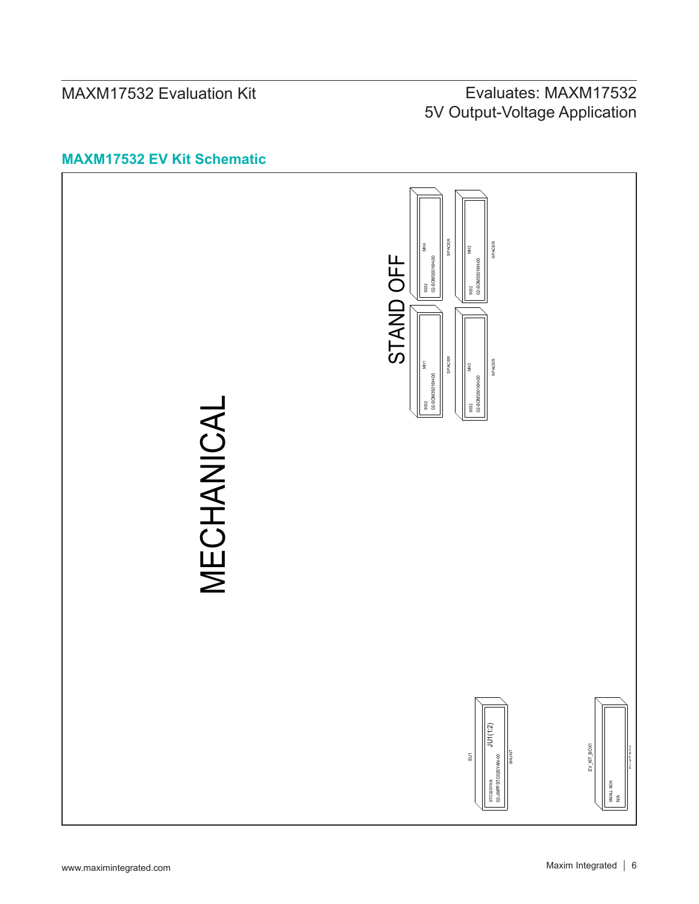# Evaluates: MAXM17532 5V Output-Voltage Application

#### **MAXM17532 EV Kit Schematic**

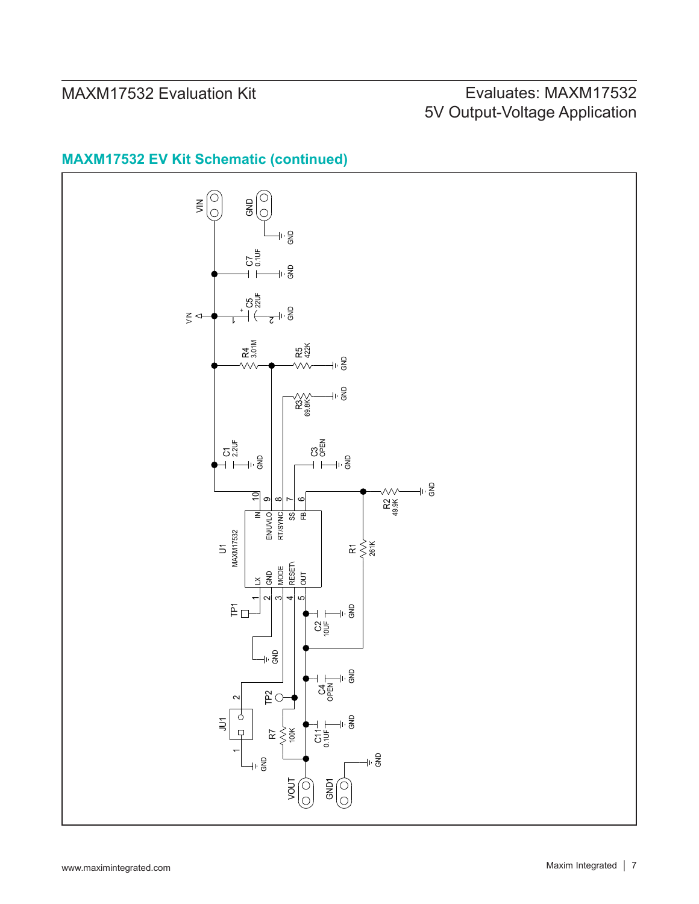# Evaluates: MAXM17532 5V Output-Voltage Application

#### **MAXM17532 EV Kit Schematic (continued)**

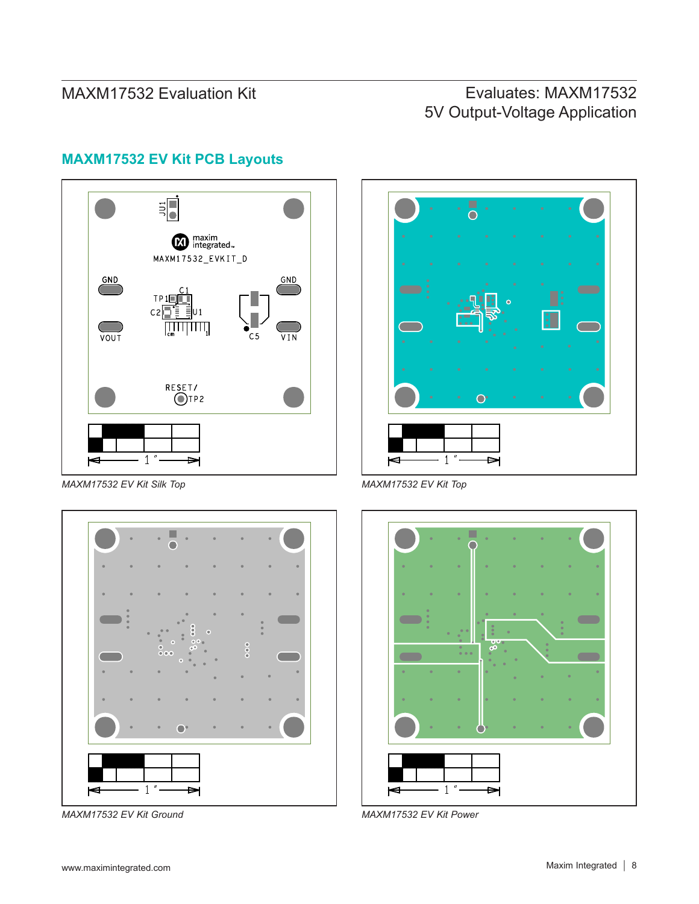# Evaluates: MAXM17532 5V Output-Voltage Application



## **MAXM17532 EV Kit PCB Layouts**

*MAXM17532 EV Kit Silk Top MAXM17532 EV Kit Top*



*MAXM17532 EV Kit Ground MAXM17532 EV Kit Power*



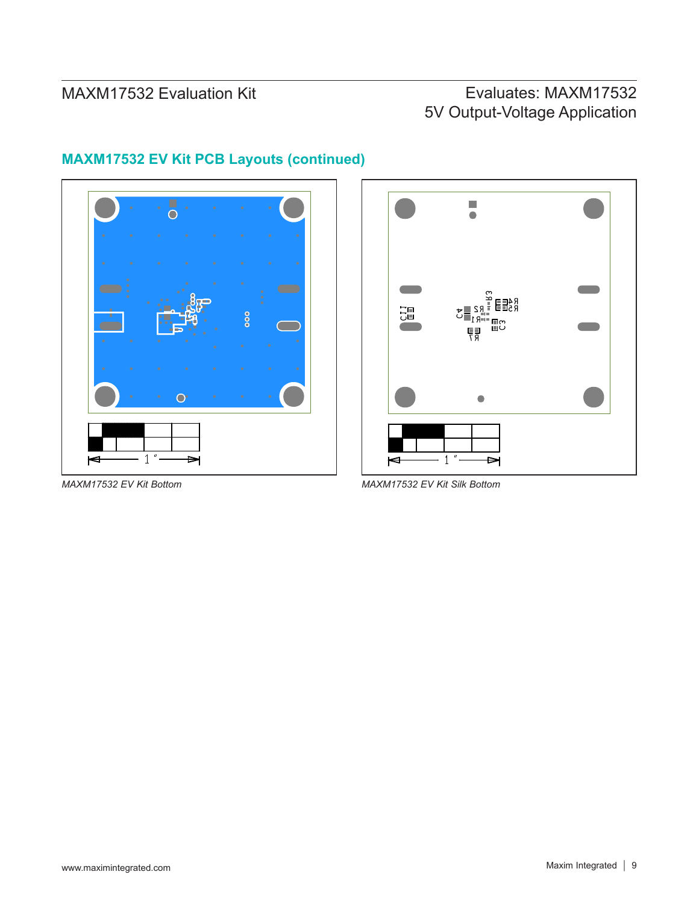# Evaluates: MAXM17532 5V Output-Voltage Application



## **MAXM17532 EV Kit PCB Layouts (continued)**





*MAXM17532 EV Kit Bottom MAXM17532 EV Kit Silk Bottom*